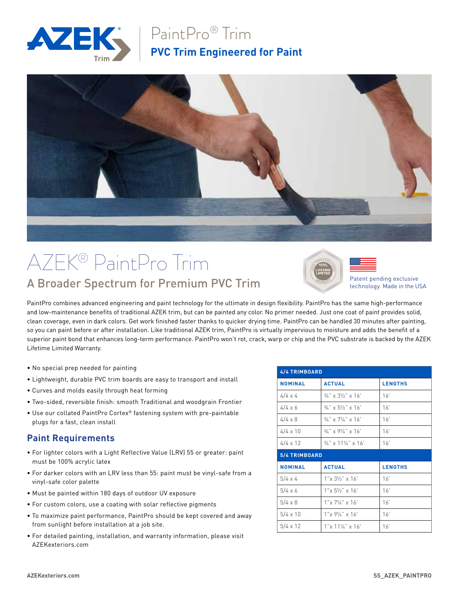

## PaintPro® Trim **PVC Trim Engineered for Paint**



## AZEK® PaintPro Trim A Broader Spectrum for Premium PVC Trim



Patent pending exclusive technology. Made in the USA

PaintPro combines advanced engineering and paint technology for the ultimate in design flexibility. PaintPro has the same high-performance and low-maintenance benefits of traditional AZEK trim, but can be painted any color. No primer needed. Just one coat of paint provides solid, clean coverage, even in dark colors. Get work finished faster thanks to quicker drying time. PaintPro can be handled 30 minutes after painting, so you can paint before or after installation. Like traditional AZEK trim, PaintPro is virtually impervious to moisture and adds the benefit of a superior paint bond that enhances long-term performance. PaintPro won't rot, crack, warp or chip and the PVC substrate is backed by the AZEK Lifetime Limited Warranty.

- No special prep needed for painting
- Lightweight, durable PVC trim boards are easy to transport and install
- Curves and molds easily through heat forming
- Two-sided, reversible finish: smooth Traditional and woodgrain Frontier
- Use our collated PaintPro Cortex® fastening system with pre-paintable plugs for a fast, clean install

#### **Paint Requirements**

- For lighter colors with a Light Reflective Value (LRV) 55 or greater: paint must be 100% acrylic latex
- For darker colors with an LRV less than 55: paint must be vinyl-safe from a vinyl-safe color palette
- Must be painted within 180 days of outdoor UV exposure
- For custom colors, use a coating with solar reflective pigments
- To maximize paint performance, PaintPro should be kept covered and away from sunlight before installation at a job site.
- For detailed painting, installation, and warranty information, please visit AZEKexteriors.com

| 4/4 TRIMBOARD   |                                    |                      |  |  |
|-----------------|------------------------------------|----------------------|--|--|
| <b>NOMINAL</b>  | <b>ACTUAL</b>                      | <b>LENGTHS</b>       |  |  |
| $4/4 \times 4$  | $3/4$ " x $3!/2$ " x $16$ "        | 16'                  |  |  |
| $4/4 \times 6$  | $3/4$ " x 5 $1/2$ " x 16'          | 16'                  |  |  |
| $4/4 \times 8$  | $3/4$ " x 7 $1/4$ " x 16'          | 16'                  |  |  |
| $4/4 \times 10$ | $3/4$ " x 9 $1/4$ " x 16'          | 16'                  |  |  |
| $4/4 \times 12$ | $3/4$ " x 11 $\frac{1}{4}$ " x 16' | 16'                  |  |  |
|                 |                                    | <b>5/4 TRIMBOARD</b> |  |  |
|                 |                                    |                      |  |  |
| <b>NOMINAL</b>  | <b>ACTUAL</b>                      | <b>LENGTHS</b>       |  |  |
| $5/4 \times 4$  | $1''$ x $3\frac{1}{2}$ " x $16'$   | 16'                  |  |  |
| $5/4 \times 6$  | $1''$ x $5\frac{1}{2}$ " x $16'$   | 16'                  |  |  |
| $5/4 \times 8$  | $1''$ x $7\frac{1}{4}$ " x $16'$   | 16'                  |  |  |
| $5/4 \times 10$ | $1''$ x $9\frac{1}{4}$ " x $16'$   | 16'                  |  |  |